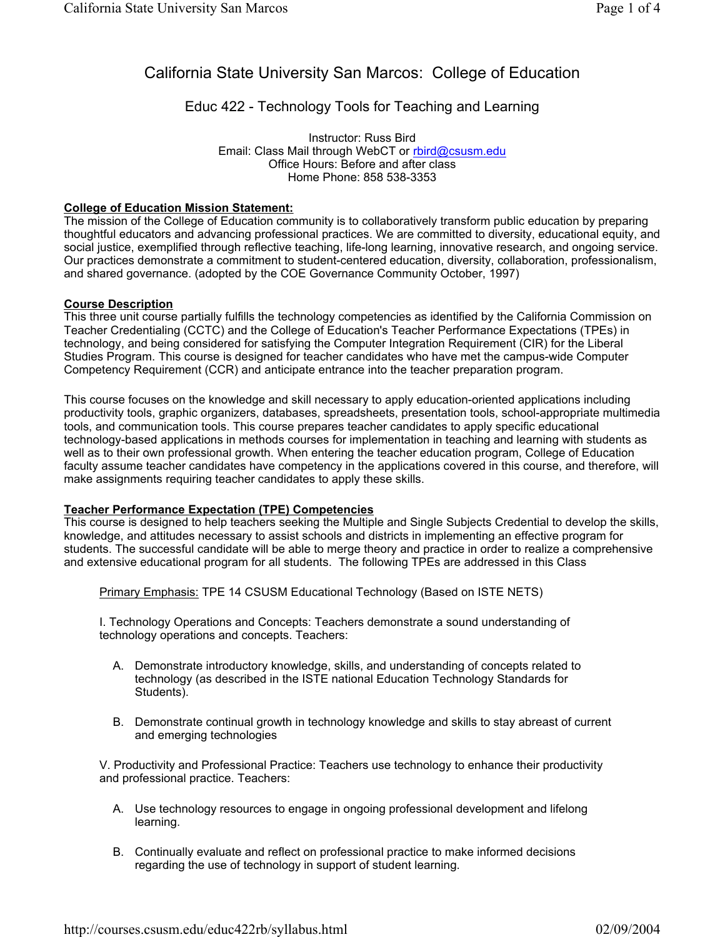# California State University San Marcos: College of Education

# Educ 422 - Technology Tools for Teaching and Learning

Instructor: Russ Bird Email: Class Mail through WebCT or rbird@csusm.edu Office Hours: Before and after class Home Phone: 858 538-3353

#### **College of Education Mission Statement:**

The mission of the College of Education community is to collaboratively transform public education by preparing thoughtful educators and advancing professional practices. We are committed to diversity, educational equity, and social justice, exemplified through reflective teaching, life-long learning, innovative research, and ongoing service. Our practices demonstrate a commitment to student-centered education, diversity, collaboration, professionalism, and shared governance. (adopted by the COE Governance Community October, 1997)

### **Course Description**

This three unit course partially fulfills the technology competencies as identified by the California Commission on Teacher Credentialing (CCTC) and the College of Education's Teacher Performance Expectations (TPEs) in technology, and being considered for satisfying the Computer Integration Requirement (CIR) for the Liberal Studies Program. This course is designed for teacher candidates who have met the campus-wide Computer Competency Requirement (CCR) and anticipate entrance into the teacher preparation program.

This course focuses on the knowledge and skill necessary to apply education-oriented applications including productivity tools, graphic organizers, databases, spreadsheets, presentation tools, school-appropriate multimedia tools, and communication tools. This course prepares teacher candidates to apply specific educational technology-based applications in methods courses for implementation in teaching and learning with students as well as to their own professional growth. When entering the teacher education program, College of Education faculty assume teacher candidates have competency in the applications covered in this course, and therefore, will make assignments requiring teacher candidates to apply these skills.

#### **Teacher Performance Expectation (TPE) Competencies**

This course is designed to help teachers seeking the Multiple and Single Subjects Credential to develop the skills, knowledge, and attitudes necessary to assist schools and districts in implementing an effective program for students. The successful candidate will be able to merge theory and practice in order to realize a comprehensive and extensive educational program for all students. The following TPEs are addressed in this Class

Primary Emphasis: TPE 14 CSUSM Educational Technology (Based on ISTE NETS)

I. Technology Operations and Concepts: Teachers demonstrate a sound understanding of technology operations and concepts. Teachers:

- A. Demonstrate introductory knowledge, skills, and understanding of concepts related to technology (as described in the ISTE national Education Technology Standards for Students).
- B. Demonstrate continual growth in technology knowledge and skills to stay abreast of current and emerging technologies

V. Productivity and Professional Practice: Teachers use technology to enhance their productivity and professional practice. Teachers:

- A. Use technology resources to engage in ongoing professional development and lifelong learning.
- B. Continually evaluate and reflect on professional practice to make informed decisions regarding the use of technology in support of student learning.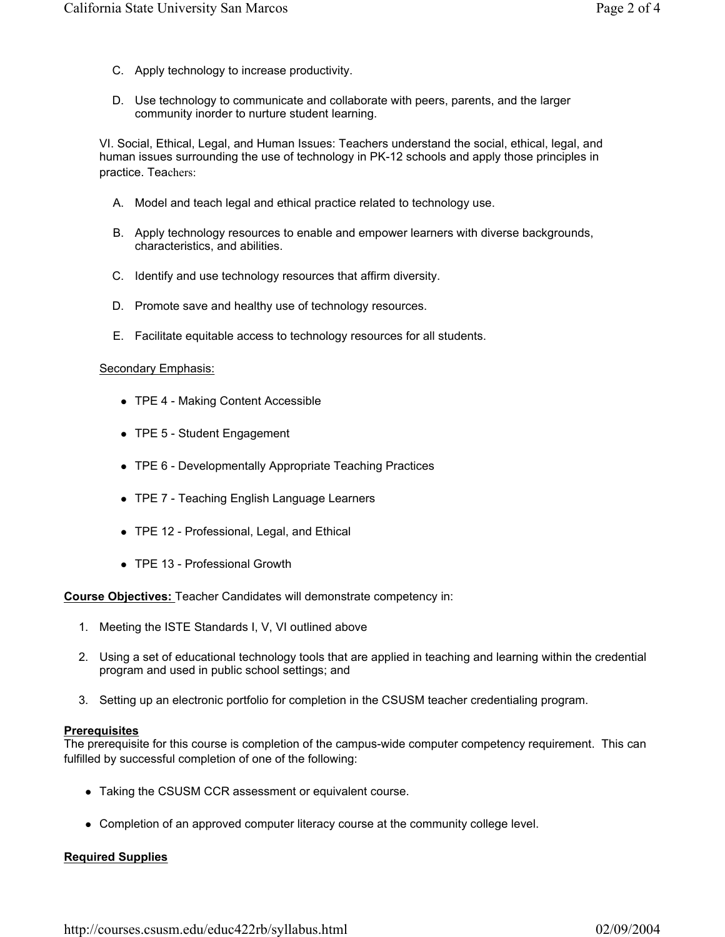- C. Apply technology to increase productivity.
- D. Use technology to communicate and collaborate with peers, parents, and the larger community inorder to nurture student learning.

VI. Social, Ethical, Legal, and Human Issues: Teachers understand the social, ethical, legal, and human issues surrounding the use of technology in PK-12 schools and apply those principles in practice. Teachers:

- A. Model and teach legal and ethical practice related to technology use.
- B. Apply technology resources to enable and empower learners with diverse backgrounds, characteristics, and abilities.
- C. Identify and use technology resources that affirm diversity.
- D. Promote save and healthy use of technology resources.
- E. Facilitate equitable access to technology resources for all students.

#### Secondary Emphasis:

- TPE 4 Making Content Accessible
- TPE 5 Student Engagement
- TPE 6 Developmentally Appropriate Teaching Practices
- TPE 7 Teaching English Language Learners
- TPE 12 Professional, Legal, and Ethical
- TPE 13 Professional Growth

**Course Objectives:** Teacher Candidates will demonstrate competency in:

- 1. Meeting the ISTE Standards I, V, VI outlined above
- 2. Using a set of educational technology tools that are applied in teaching and learning within the credential program and used in public school settings; and
- 3. Setting up an electronic portfolio for completion in the CSUSM teacher credentialing program.

#### **Prerequisites**

The prerequisite for this course is completion of the campus-wide computer competency requirement. This can fulfilled by successful completion of one of the following:

- Taking the CSUSM CCR assessment or equivalent course.
- Completion of an approved computer literacy course at the community college level.

#### **Required Supplies**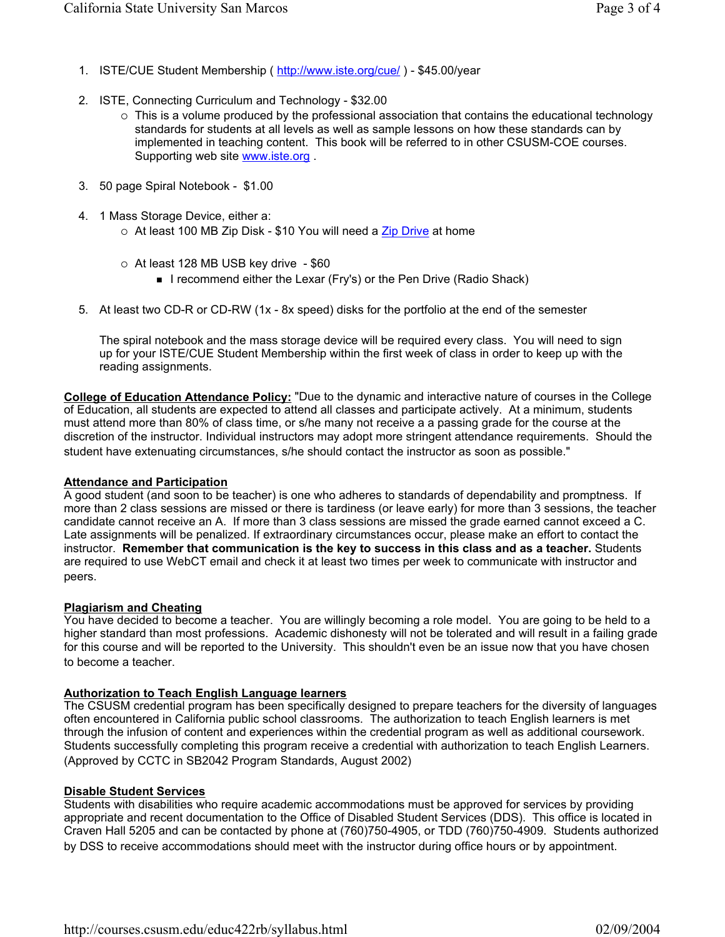- 1. ISTE/CUE Student Membership ( http://www.iste.org/cue/ ) \$45.00/year
- 2. ISTE, Connecting Curriculum and Technology \$32.00
	- $\circ$  This is a volume produced by the professional association that contains the educational technology standards for students at all levels as well as sample lessons on how these standards can by implemented in teaching content. This book will be referred to in other CSUSM-COE courses. Supporting web site www.iste.org .
- 3. 50 page Spiral Notebook \$1.00
- 4. 1 Mass Storage Device, either a:
	- $\circ$  At least 100 MB Zip Disk \$10 You will need a Zip Drive at home
	- $\circ$  At least 128 MB USB key drive \$60
		- **I** recommend either the Lexar (Fry's) or the Pen Drive (Radio Shack)
- 5. At least two CD-R or CD-RW (1x 8x speed) disks for the portfolio at the end of the semester

The spiral notebook and the mass storage device will be required every class. You will need to sign up for your ISTE/CUE Student Membership within the first week of class in order to keep up with the reading assignments.

**College of Education Attendance Policy:** "Due to the dynamic and interactive nature of courses in the College of Education, all students are expected to attend all classes and participate actively. At a minimum, students must attend more than 80% of class time, or s/he many not receive a a passing grade for the course at the discretion of the instructor. Individual instructors may adopt more stringent attendance requirements. Should the student have extenuating circumstances, s/he should contact the instructor as soon as possible."

#### **Attendance and Participation**

A good student (and soon to be teacher) is one who adheres to standards of dependability and promptness. If more than 2 class sessions are missed or there is tardiness (or leave early) for more than 3 sessions, the teacher candidate cannot receive an A. If more than 3 class sessions are missed the grade earned cannot exceed a C. Late assignments will be penalized. If extraordinary circumstances occur, please make an effort to contact the instructor. **Remember that communication is the key to success in this class and as a teacher.** Students are required to use WebCT email and check it at least two times per week to communicate with instructor and peers.

#### **Plagiarism and Cheating**

You have decided to become a teacher. You are willingly becoming a role model. You are going to be held to a higher standard than most professions. Academic dishonesty will not be tolerated and will result in a failing grade for this course and will be reported to the University. This shouldn't even be an issue now that you have chosen to become a teacher.

# **Authorization to Teach English Language learners**

The CSUSM credential program has been specifically designed to prepare teachers for the diversity of languages often encountered in California public school classrooms. The authorization to teach English learners is met through the infusion of content and experiences within the credential program as well as additional coursework. Students successfully completing this program receive a credential with authorization to teach English Learners. (Approved by CCTC in SB2042 Program Standards, August 2002)

# **Disable Student Services**

Students with disabilities who require academic accommodations must be approved for services by providing appropriate and recent documentation to the Office of Disabled Student Services (DDS). This office is located in Craven Hall 5205 and can be contacted by phone at (760)750-4905, or TDD (760)750-4909. Students authorized by DSS to receive accommodations should meet with the instructor during office hours or by appointment.